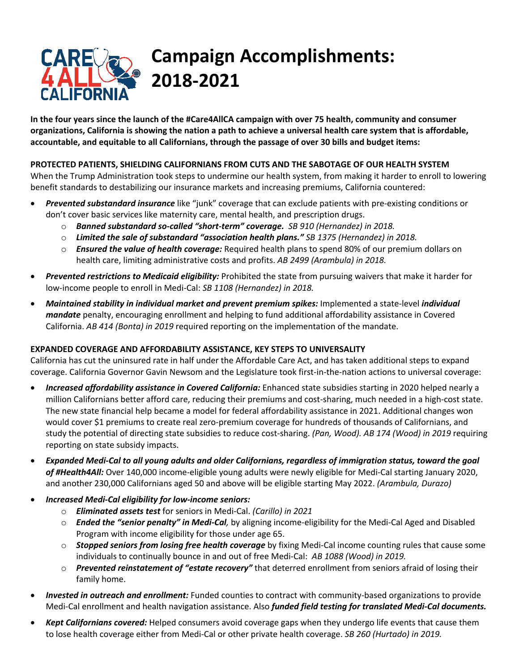# **Campaign Accomplishments: 2018-2021**

**In the four years since the launch of the #Care4AllCA campaign with over 75 health, community and consumer organizations, California is showing the nation a path to achieve a universal health care system that is affordable, accountable, and equitable to all Californians, through the passage of over 30 bills and budget items:**

## **PROTECTED PATIENTS, SHIELDING CALIFORNIANS FROM CUTS AND THE SABOTAGE OF OUR HEALTH SYSTEM**

When the Trump Administration took steps to undermine our health system, from making it harder to enroll to lowering benefit standards to destabilizing our insurance markets and increasing premiums, California countered:

- *Prevented substandard insurance* like "junk" coverage that can exclude patients with pre-existing conditions or don't cover basic services like maternity care, mental health, and prescription drugs.
	- o *Banned substandard so-called "short-term" coverage. SB 910 (Hernandez) in 2018.*
	- o *Limited the sale of substandard "association health plans." SB 1375 (Hernandez) in 2018.*
	- o *Ensured the value of health coverage:* Required health plans to spend 80% of our premium dollars on health care, limiting administrative costs and profits. *AB 2499 (Arambula) in 2018.*
- *Prevented restrictions to Medicaid eligibility:* Prohibited the state from pursuing waivers that make it harder for low-income people to enroll in Medi-Cal: *SB 1108 (Hernandez) in 2018.*
- *Maintained stability in individual market and prevent premium spikes:* Implemented a state-level *individual mandate* penalty, encouraging enrollment and helping to fund additional affordability assistance in Covered California. *AB 414 (Bonta) in 2019* required reporting on the implementation of the mandate.

## **EXPANDED COVERAGE AND AFFORDABILITY ASSISTANCE, KEY STEPS TO UNIVERSALITY**

California has cut the uninsured rate in half under the Affordable Care Act, and has taken additional steps to expand coverage. California Governor Gavin Newsom and the Legislature took first-in-the-nation actions to universal coverage:

- *Increased affordability assistance in Covered California:* Enhanced state subsidies starting in 2020 helped nearly a million Californians better afford care, reducing their premiums and cost-sharing, much needed in a high-cost state. The new state financial help became a model for federal affordability assistance in 2021. Additional changes won would cover \$1 premiums to create real zero-premium coverage for hundreds of thousands of Californians, and study the potential of directing state subsidies to reduce cost-sharing. *(Pan, Wood). AB 174 (Wood) in 2019* requiring reporting on state subsidy impacts.
- *Expanded Medi-Cal to all young adults and older Californians, regardless of immigration status, toward the goal of #Health4All:* Over 140,000 income-eligible young adults were newly eligible for Medi-Cal starting January 2020, and another 230,000 Californians aged 50 and above will be eligible starting May 2022. *(Arambula, Durazo)*
- *Increased Medi-Cal eligibility for low-income seniors:*
	- o *Eliminated assets test* for seniors in Medi-Cal. *(Carillo) in 2021*
	- o *Ended the "senior penalty" in Medi-Cal,* by aligning income-eligibility for the Medi-Cal Aged and Disabled Program with income eligibility for those under age 65.
	- o *Stopped seniors from losing free health coverage* by fixing Medi-Cal income counting rules that cause some individuals to continually bounce in and out of free Medi-Cal: *AB 1088 (Wood) in 2019.*
	- o *Prevented reinstatement of "estate recovery"* that deterred enrollment from seniors afraid of losing their family home.
- *Invested in outreach and enrollment:* Funded counties to contract with community-based organizations to provide Medi-Cal enrollment and health navigation assistance. Also *funded field testing for translated Medi-Cal documents.*
- *Kept Californians covered:* Helped consumers avoid coverage gaps when they undergo life events that cause them to lose health coverage either from Medi-Cal or other private health coverage. *SB 260 (Hurtado) in 2019.*